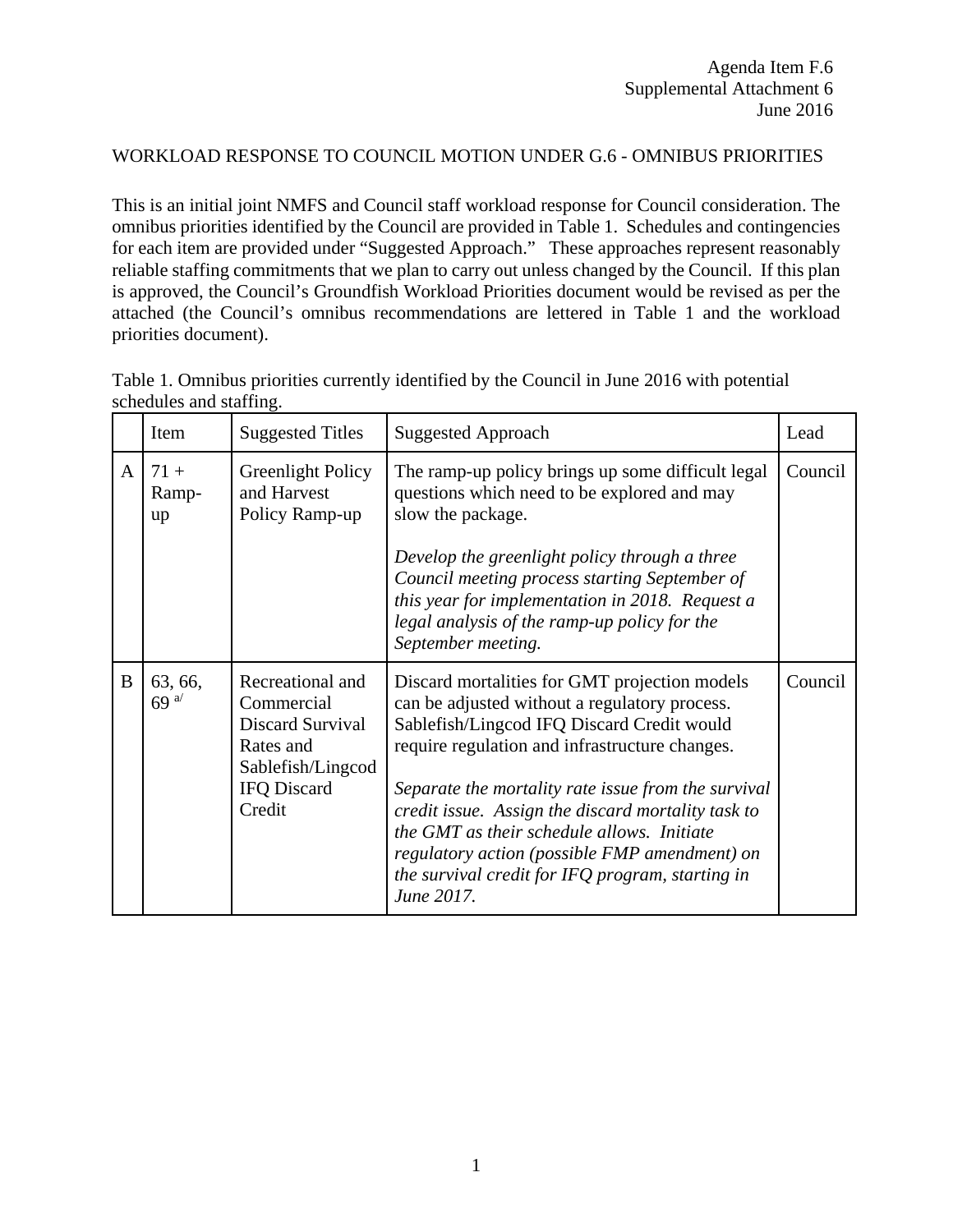## WORKLOAD RESPONSE TO COUNCIL MOTION UNDER G.6 - OMNIBUS PRIORITIES

This is an initial joint NMFS and Council staff workload response for Council consideration. The omnibus priorities identified by the Council are provided in Table 1. Schedules and contingencies for each item are provided under "Suggested Approach." These approaches represent reasonably reliable staffing commitments that we plan to carry out unless changed by the Council. If this plan is approved, the Council's Groundfish Workload Priorities document would be revised as per the attached (the Council's omnibus recommendations are lettered in Table 1 and the workload priorities document).

|              | Item                        | <b>Suggested Titles</b>                                                                                              | <b>Suggested Approach</b>                                                                                                                                                                                                                                                                                                                                                                                                                                                    | Lead    |
|--------------|-----------------------------|----------------------------------------------------------------------------------------------------------------------|------------------------------------------------------------------------------------------------------------------------------------------------------------------------------------------------------------------------------------------------------------------------------------------------------------------------------------------------------------------------------------------------------------------------------------------------------------------------------|---------|
| $\mathbf{A}$ | $71 +$<br>Ramp-<br>up       | Greenlight Policy<br>and Harvest<br>Policy Ramp-up                                                                   | The ramp-up policy brings up some difficult legal<br>questions which need to be explored and may<br>slow the package.<br>Develop the greenlight policy through a three<br>Council meeting process starting September of<br>this year for implementation in 2018. Request a<br>legal analysis of the ramp-up policy for the<br>September meeting.                                                                                                                             | Council |
| B            | 63, 66,<br>69 <sup>a/</sup> | Recreational and<br>Commercial<br>Discard Survival<br>Rates and<br>Sablefish/Lingcod<br><b>IFQ Discard</b><br>Credit | Discard mortalities for GMT projection models<br>can be adjusted without a regulatory process.<br>Sablefish/Lingcod IFQ Discard Credit would<br>require regulation and infrastructure changes.<br>Separate the mortality rate issue from the survival<br>credit issue. Assign the discard mortality task to<br>the GMT as their schedule allows. Initiate<br>regulatory action (possible FMP amendment) on<br>the survival credit for IFQ program, starting in<br>June 2017. | Council |

Table 1. Omnibus priorities currently identified by the Council in June 2016 with potential schedules and staffing.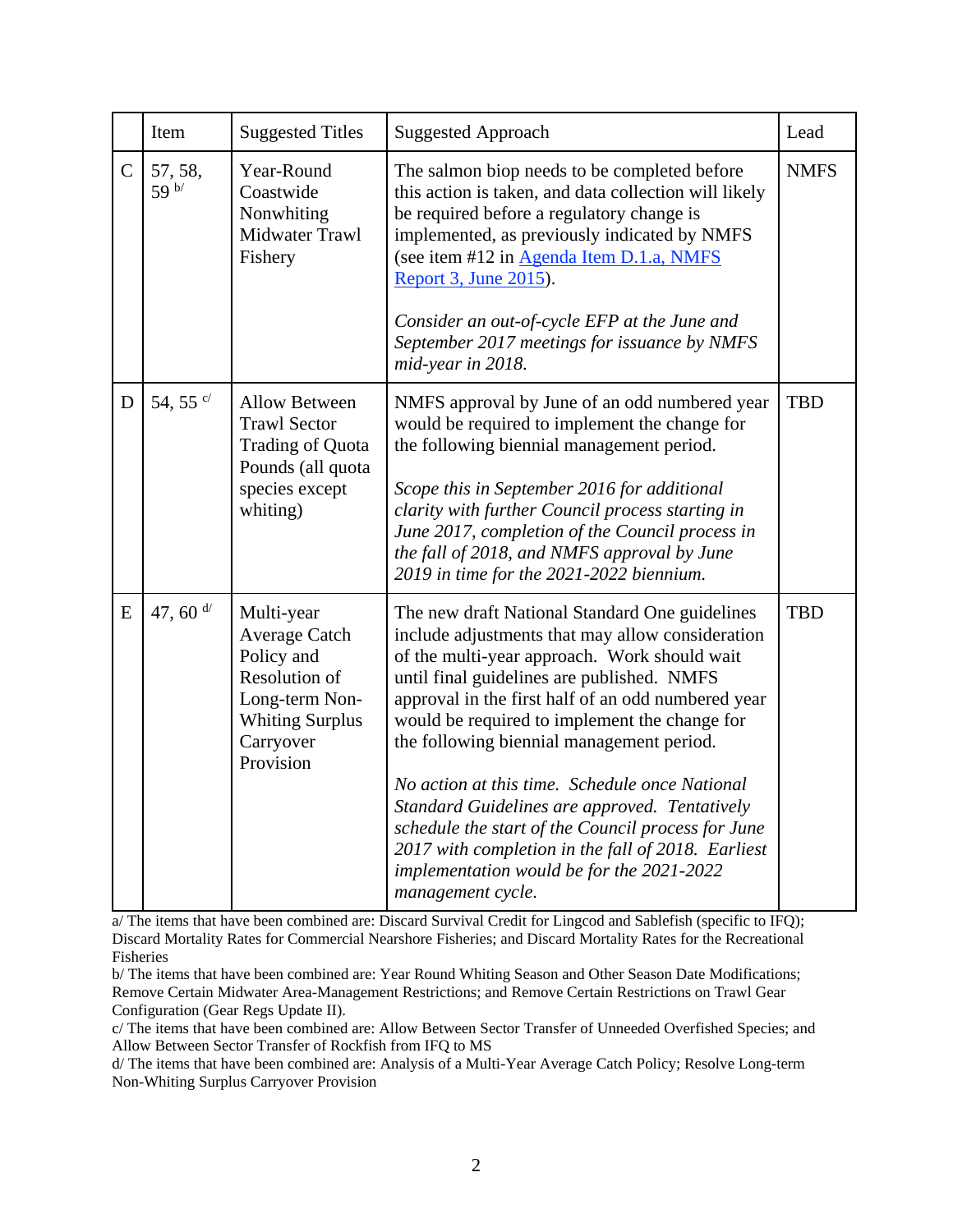|              | Item             | <b>Suggested Titles</b>                                                                                                          | <b>Suggested Approach</b><br>Lead                                                                                                                                                                                                                                                                                                                                                                                                                                                                                                                                                                                                     |             |
|--------------|------------------|----------------------------------------------------------------------------------------------------------------------------------|---------------------------------------------------------------------------------------------------------------------------------------------------------------------------------------------------------------------------------------------------------------------------------------------------------------------------------------------------------------------------------------------------------------------------------------------------------------------------------------------------------------------------------------------------------------------------------------------------------------------------------------|-------------|
| $\mathsf{C}$ | 57, 58,<br>59 b/ | Year-Round<br>Coastwide<br>Nonwhiting<br>Midwater Trawl<br>Fishery                                                               | The salmon biop needs to be completed before<br>this action is taken, and data collection will likely<br>be required before a regulatory change is<br>implemented, as previously indicated by NMFS<br>(see item #12 in Agenda Item D.1.a, NMFS<br>Report 3, June 2015).<br>Consider an out-of-cycle EFP at the June and<br>September 2017 meetings for issuance by NMFS<br>mid-year in 2018.                                                                                                                                                                                                                                          | <b>NMFS</b> |
| D            | 54, 55 °         | <b>Allow Between</b><br><b>Trawl Sector</b><br>Trading of Quota<br>Pounds (all quota<br>species except<br>whiting)               | NMFS approval by June of an odd numbered year<br>would be required to implement the change for<br>the following biennial management period.<br>Scope this in September 2016 for additional<br>clarity with further Council process starting in<br>June 2017, completion of the Council process in<br>the fall of 2018, and NMFS approval by June<br>2019 in time for the 2021-2022 biennium.                                                                                                                                                                                                                                          | <b>TBD</b>  |
| E            | 47, 60 $d/$      | Multi-year<br>Average Catch<br>Policy and<br>Resolution of<br>Long-term Non-<br><b>Whiting Surplus</b><br>Carryover<br>Provision | The new draft National Standard One guidelines<br>include adjustments that may allow consideration<br>of the multi-year approach. Work should wait<br>until final guidelines are published. NMFS<br>approval in the first half of an odd numbered year<br>would be required to implement the change for<br>the following biennial management period.<br>No action at this time. Schedule once National<br>Standard Guidelines are approved. Tentatively<br>schedule the start of the Council process for June<br>2017 with completion in the fall of 2018. Earliest<br>implementation would be for the 2021-2022<br>management cycle. | <b>TBD</b>  |

a/ The items that have been combined are: Discard Survival Credit for Lingcod and Sablefish (specific to IFQ); Discard Mortality Rates for Commercial Nearshore Fisheries; and Discard Mortality Rates for the Recreational Fisheries

b/ The items that have been combined are: Year Round Whiting Season and Other Season Date Modifications; Remove Certain Midwater Area-Management Restrictions; and Remove Certain Restrictions on Trawl Gear Configuration (Gear Regs Update II).

c/ The items that have been combined are: Allow Between Sector Transfer of Unneeded Overfished Species; and Allow Between Sector Transfer of Rockfish from IFQ to MS

d/ The items that have been combined are: Analysis of a Multi-Year Average Catch Policy; Resolve Long-term Non-Whiting Surplus Carryover Provision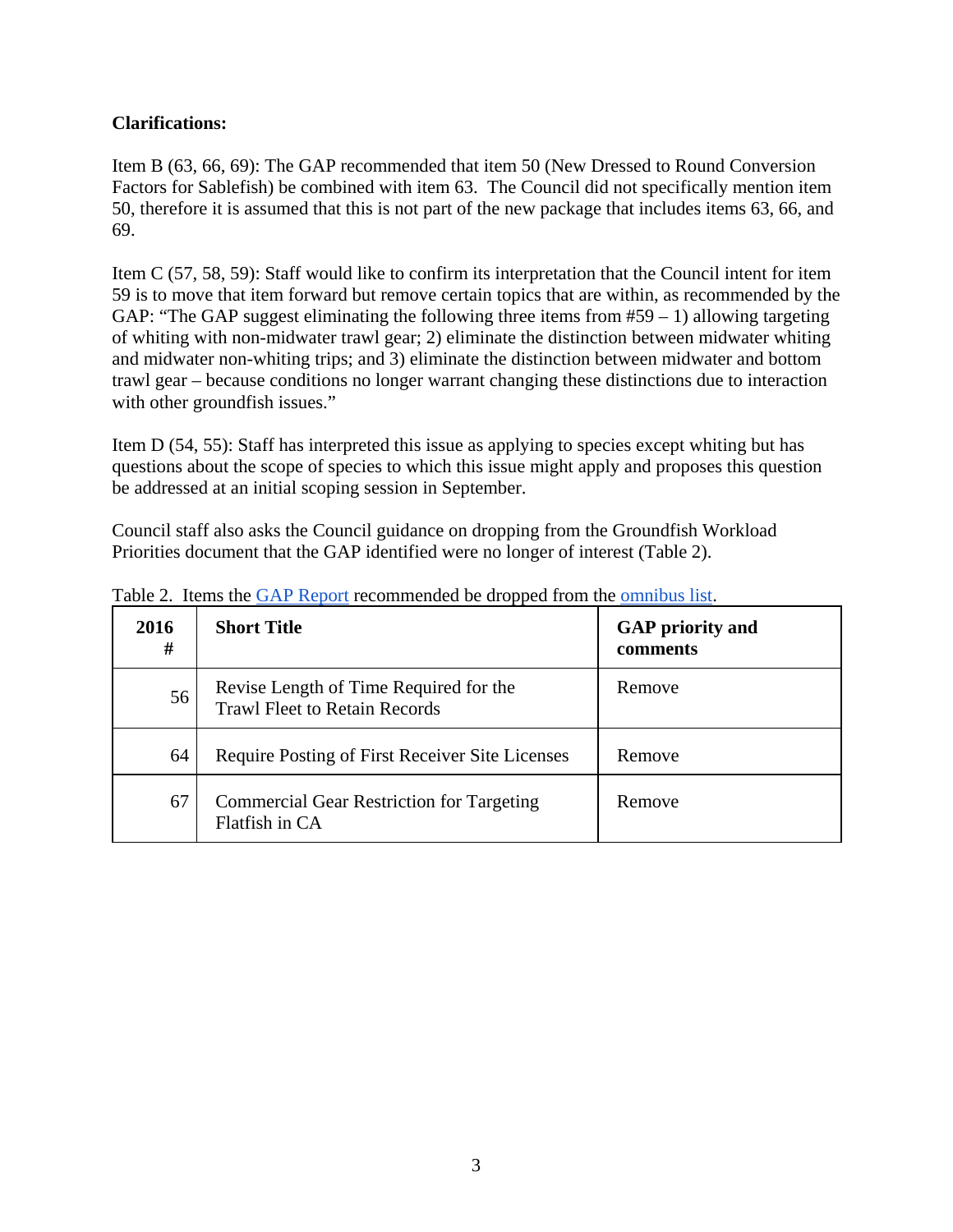## **Clarifications:**

Item B (63, 66, 69): The GAP recommended that item 50 (New Dressed to Round Conversion Factors for Sablefish) be combined with item 63. The Council did not specifically mention item 50, therefore it is assumed that this is not part of the new package that includes items 63, 66, and 69.

Item C (57, 58, 59): Staff would like to confirm its interpretation that the Council intent for item 59 is to move that item forward but remove certain topics that are within, as recommended by the GAP: "The GAP suggest eliminating the following three items from  $#59 - 1$ ) allowing targeting of whiting with non-midwater trawl gear; 2) eliminate the distinction between midwater whiting and midwater non-whiting trips; and 3) eliminate the distinction between midwater and bottom trawl gear – because conditions no longer warrant changing these distinctions due to interaction with other groundfish issues."

Item D (54, 55): Staff has interpreted this issue as applying to species except whiting but has questions about the scope of species to which this issue might apply and proposes this question be addressed at an initial scoping session in September.

Council staff also asks the Council guidance on dropping from the Groundfish Workload Priorities document that the GAP identified were no longer of interest (Table 2).

| 2016<br># | <b>Short Title</b>                                                             | <b>GAP</b> priority and<br>comments |
|-----------|--------------------------------------------------------------------------------|-------------------------------------|
| 56        | Revise Length of Time Required for the<br><b>Trawl Fleet to Retain Records</b> | Remove                              |
| 64        | Require Posting of First Receiver Site Licenses                                | Remove                              |
| 67        | <b>Commercial Gear Restriction for Targeting</b><br>Flatfish in CA             | Remove                              |

Table 2. Items the GAP Report recommended be dropped from the omnibus list.